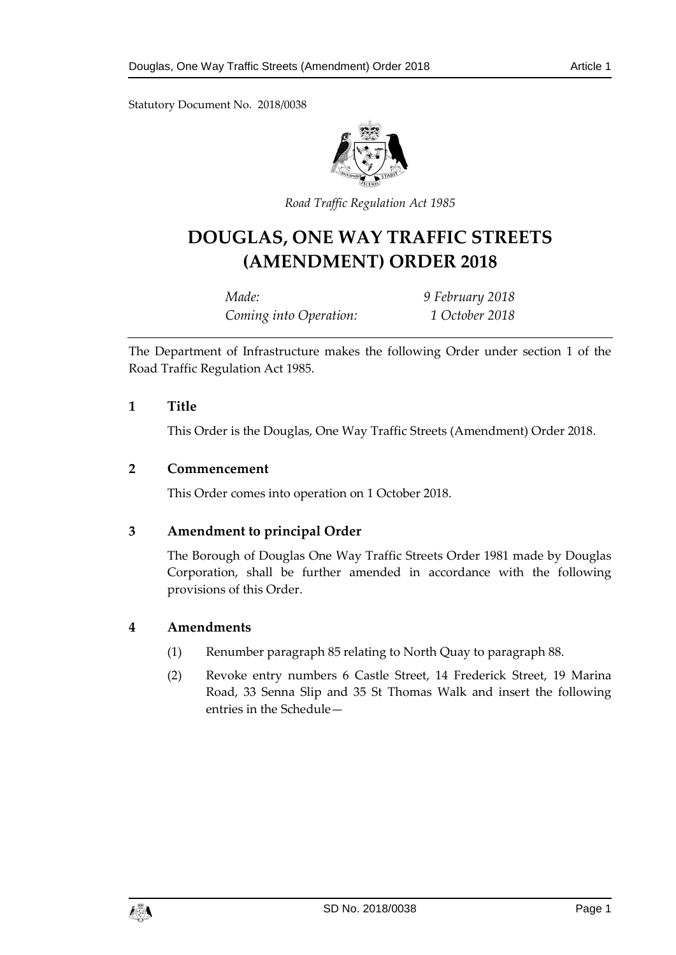Statutory Document No. 2018/0038



*Road Traffic Regulation Act 198 5*

# **DOUGLAS, ONE WAY TRAFFIC STREETS (AMENDMENT) ORDER 2018**

*Made: 9 February 2018 Coming into Operation: 1 October 2018*

The Department of Infrastructure makes the following Order under section 1 of the Road Traffic Regulation Act 1985.

### **1 Title**

This Order is the Douglas, One Way Traffic Streets (Amendment) Order 2018.

### **2 Commencement**

This Order comes into operation on 1 October 2018.

### **3 Amendment to principal Order**

The Borough of Douglas One Way Traffic Streets Order 1981 made by Douglas Corporation, shall be further amended in accordance with the following provisions of this Order.

### **4 Amendments**

- (1) Renumber paragraph 85 relating to North Quay to paragraph 88.
- (2) Revoke entry numbers 6 Castle Street, 14 Frederick Street, 19 Marina Road, 33 Senna Slip and 35 St Thomas Walk and insert the following entries in the Schedule—

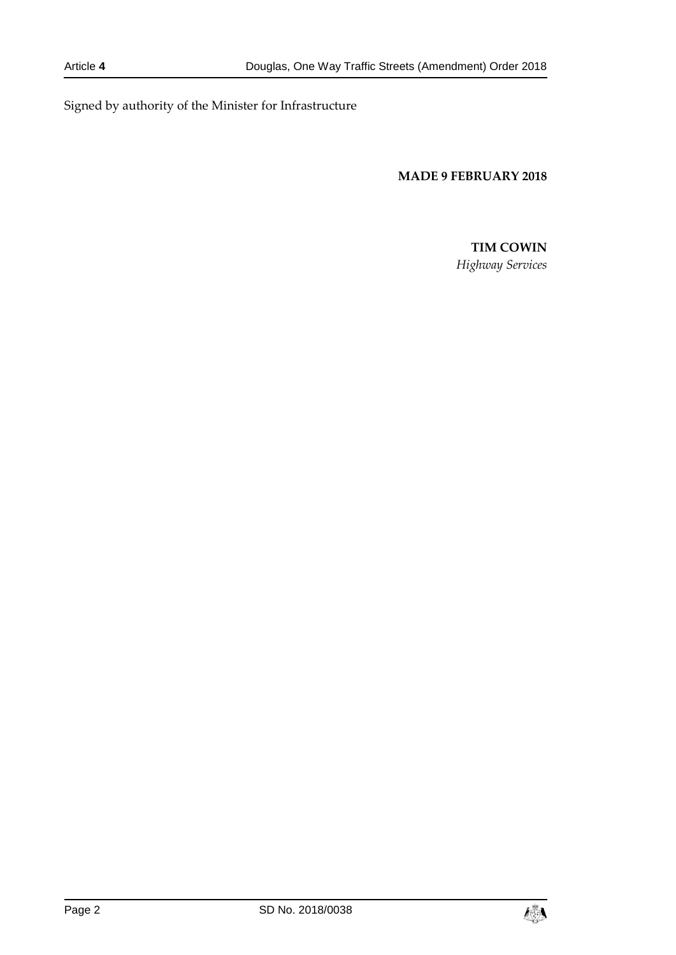Signed by authority of the Minister for Infrastructure

**MADE 9 FEBRUARY 2018**

# **TIM COWIN**

*Highway Services*

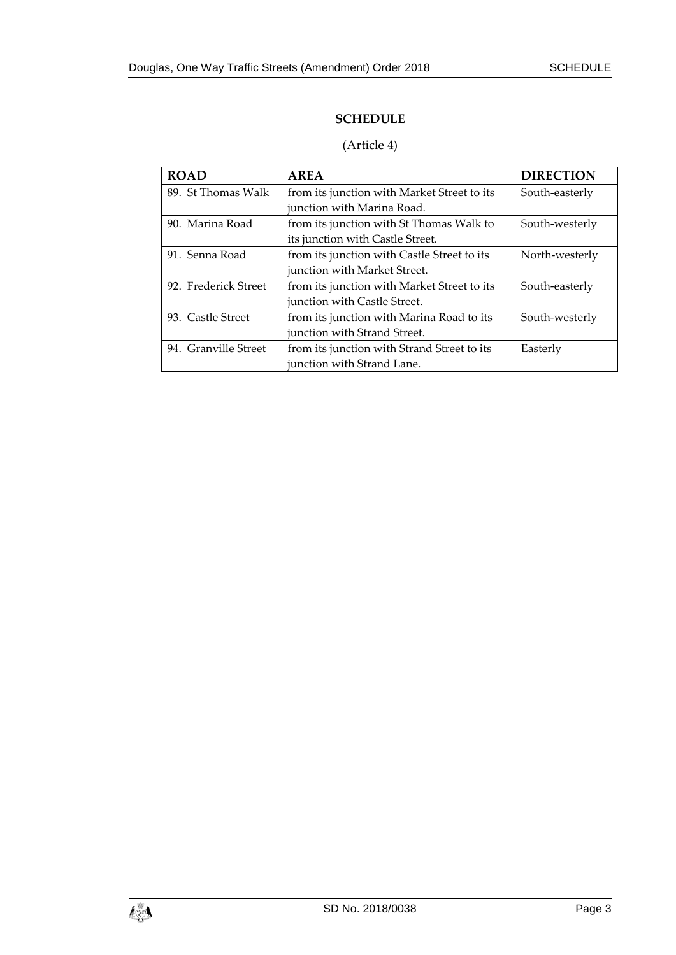## **SCHEDULE**

# (Article 4)

| <b>ROAD</b>          | AREA                                        | <b>DIRECTION</b> |
|----------------------|---------------------------------------------|------------------|
| 89. St Thomas Walk   | from its junction with Market Street to its | South-easterly   |
|                      | junction with Marina Road.                  |                  |
| 90. Marina Road      | from its junction with St Thomas Walk to    | South-westerly   |
|                      | its junction with Castle Street.            |                  |
| 91. Senna Road       | from its junction with Castle Street to its | North-westerly   |
|                      | junction with Market Street.                |                  |
| 92. Frederick Street | from its junction with Market Street to its | South-easterly   |
|                      | junction with Castle Street.                |                  |
| 93. Castle Street    | from its junction with Marina Road to its   | South-westerly   |
|                      | junction with Strand Street.                |                  |
| 94. Granville Street | from its junction with Strand Street to its | Easterly         |
|                      | junction with Strand Lane.                  |                  |